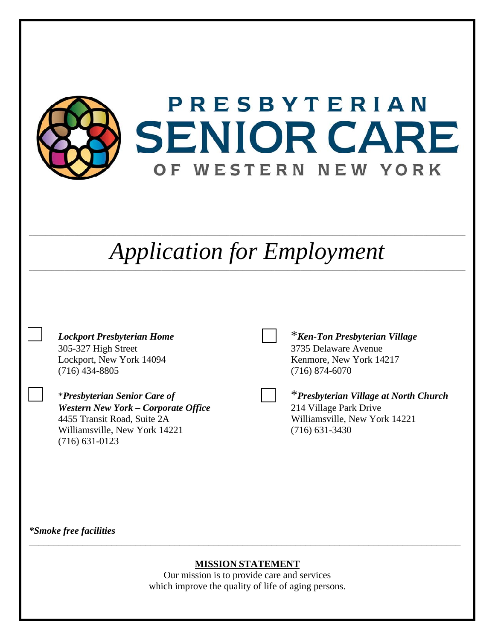

### **MISSION STATEMENT**

Our mission is to provide care and services which improve the quality of life of aging persons.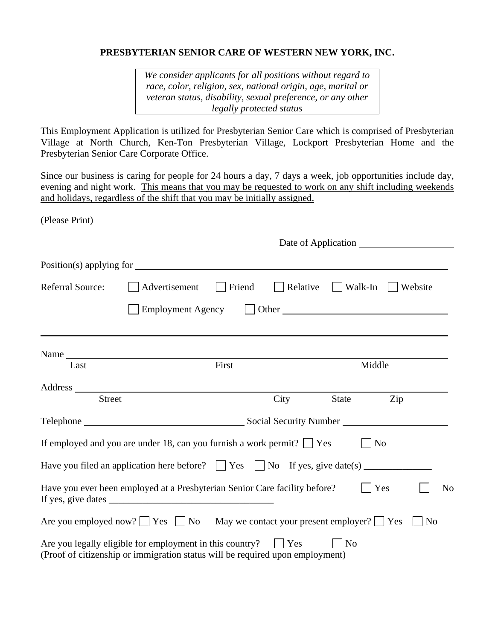#### **PRESBYTERIAN SENIOR CARE OF WESTERN NEW YORK, INC.**

*We consider applicants for all positions without regard to race, color, religion, sex, national origin, age, marital or veteran status, disability, sexual preference, or any other legally protected status* 

This Employment Application is utilized for Presbyterian Senior Care which is comprised of Presbyterian Village at North Church, Ken-Ton Presbyterian Village, Lockport Presbyterian Home and the Presbyterian Senior Care Corporate Office.

Since our business is caring for people for 24 hours a day, 7 days a week, job opportunities include day, evening and night work. This means that you may be requested to work on any shift including weekends and holidays, regardless of the shift that you may be initially assigned.

(Please Print)

|                         | Date of Application                                                                                                                                                                                                           |        |                                                                                                                                                                                                                                |                 |                |                     |                |
|-------------------------|-------------------------------------------------------------------------------------------------------------------------------------------------------------------------------------------------------------------------------|--------|--------------------------------------------------------------------------------------------------------------------------------------------------------------------------------------------------------------------------------|-----------------|----------------|---------------------|----------------|
|                         |                                                                                                                                                                                                                               |        |                                                                                                                                                                                                                                |                 |                |                     |                |
| <b>Referral Source:</b> | Advertisement                                                                                                                                                                                                                 | Friend | Relative                                                                                                                                                                                                                       | $\vert$ Walk-In |                | Website             |                |
|                         | <b>Employment Agency</b>                                                                                                                                                                                                      |        | Other contract of the contract of the contract of the contract of the contract of the contract of the contract of the contract of the contract of the contract of the contract of the contract of the contract of the contract |                 |                |                     |                |
|                         | Name and the same state of the state of the state of the state of the state of the state of the state of the state of the state of the state of the state of the state of the state of the state of the state of the state of |        |                                                                                                                                                                                                                                |                 |                |                     |                |
| Last                    | First<br>Middle                                                                                                                                                                                                               |        |                                                                                                                                                                                                                                |                 |                |                     |                |
| <b>Street</b>           |                                                                                                                                                                                                                               |        | City                                                                                                                                                                                                                           | State           | Zip            |                     |                |
|                         |                                                                                                                                                                                                                               |        |                                                                                                                                                                                                                                |                 |                |                     |                |
|                         | If employed and you are under 18, can you furnish a work permit? $\Box$ Yes                                                                                                                                                   |        |                                                                                                                                                                                                                                |                 | N <sub>o</sub> |                     |                |
|                         | Have you filed an application here before? $\Box$ Yes $\Box$ No If yes, give date(s) $\Box$                                                                                                                                   |        |                                                                                                                                                                                                                                |                 |                |                     |                |
|                         | Have you ever been employed at a Presbyterian Senior Care facility before?                                                                                                                                                    |        |                                                                                                                                                                                                                                |                 | Yes            |                     | N <sub>o</sub> |
|                         | Are you employed now? $\Box$ Yes $\Box$ No May we contact your present employer? $\Box$ Yes                                                                                                                                   |        |                                                                                                                                                                                                                                |                 |                | $\overline{\rm No}$ |                |
|                         | Are you legally eligible for employment in this country?<br>(Proof of citizenship or immigration status will be required upon employment)                                                                                     |        | $ $ Yes                                                                                                                                                                                                                        | N <sub>o</sub>  |                |                     |                |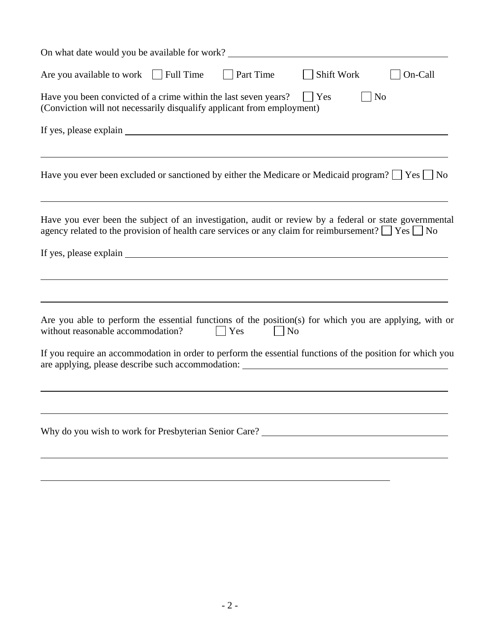| On what date would you be available for work?                                                                                                                                                                          |
|------------------------------------------------------------------------------------------------------------------------------------------------------------------------------------------------------------------------|
| Are you available to work $\Box$ Full Time<br>Part Time<br>Shift Work<br>On-Call                                                                                                                                       |
| N <sub>0</sub><br>Have you been convicted of a crime within the last seven years?<br>$ $ Yes<br>(Conviction will not necessarily disqualify applicant from employment)                                                 |
| If yes, please explain explain                                                                                                                                                                                         |
| Have you ever been excluded or sanctioned by either the Medicare or Medicaid program? $\Box$ Yes $\Box$ No                                                                                                             |
| Have you ever been the subject of an investigation, audit or review by a federal or state governmental<br>agency related to the provision of health care services or any claim for reimbursement? $\Box$ Yes $\Box$ No |
|                                                                                                                                                                                                                        |
| Are you able to perform the essential functions of the position(s) for which you are applying, with or<br>without reasonable accommodation?<br>$\overline{N}$<br>Yes                                                   |
| If you require an accommodation in order to perform the essential functions of the position for which you<br>are applying, please describe such accommodation: _______________________________                         |
| Why do you wish to work for Presbyterian Senior Care? ___________________________                                                                                                                                      |
|                                                                                                                                                                                                                        |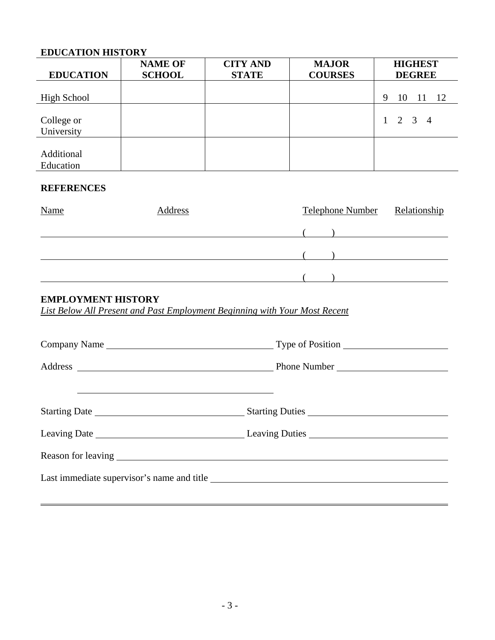## **EDUCATION HISTORY**

|                          | <b>NAME OF</b> | <b>CITY AND</b> | <b>MAJOR</b>   | <b>HIGHEST</b>       |
|--------------------------|----------------|-----------------|----------------|----------------------|
| <b>EDUCATION</b>         | <b>SCHOOL</b>  | <b>STATE</b>    | <b>COURSES</b> | <b>DEGREE</b>        |
| <b>High School</b>       |                |                 |                | 9<br>-12<br>10<br>11 |
| College or<br>University |                |                 |                | $1 \t2 \t3 \t4$      |
| Additional<br>Education  |                |                 |                |                      |

#### **REFERENCES**

| <b>Name</b> | Address | Telephone Number Relationship |  |  |
|-------------|---------|-------------------------------|--|--|
|             |         |                               |  |  |
|             |         |                               |  |  |
|             |         |                               |  |  |

# **EMPLOYMENT HISTORY**

*List Below All Present and Past Employment Beginning with Your Most Recent*

| Company Name Type of Position              |
|--------------------------------------------|
| Address Phone Number                       |
|                                            |
|                                            |
|                                            |
|                                            |
| Last immediate supervisor's name and title |
|                                            |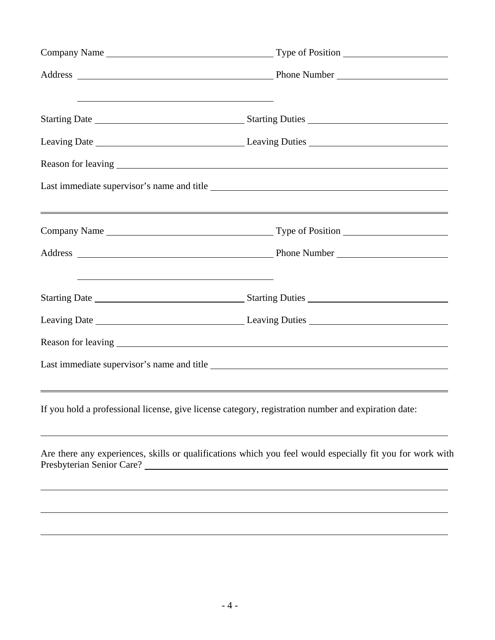| <u> 2000 - 2000 - 2000 - 2000 - 2000 - 2000 - 2000 - 2000 - 2000 - 2000 - 2000 - 2000 - 2000 - 2000 - 2000 - 200</u>   |                                                                                                                                                                                                                              |  |
|------------------------------------------------------------------------------------------------------------------------|------------------------------------------------------------------------------------------------------------------------------------------------------------------------------------------------------------------------------|--|
|                                                                                                                        |                                                                                                                                                                                                                              |  |
|                                                                                                                        |                                                                                                                                                                                                                              |  |
|                                                                                                                        | Last immediate supervisor's name and title                                                                                                                                                                                   |  |
|                                                                                                                        |                                                                                                                                                                                                                              |  |
|                                                                                                                        |                                                                                                                                                                                                                              |  |
| <u> 1989 - Andrea Barbara, amerikana amerikana amerikana amerikana amerikana amerikana amerikana amerikana amerika</u> |                                                                                                                                                                                                                              |  |
|                                                                                                                        |                                                                                                                                                                                                                              |  |
|                                                                                                                        |                                                                                                                                                                                                                              |  |
|                                                                                                                        |                                                                                                                                                                                                                              |  |
|                                                                                                                        | <u> 1989 - Johann Stoff, deutscher Stoffen und der Stoffen und der Stoffen und der Stoffen und der Stoffen und de</u><br>If you hold a professional license, give license category, registration number and expiration date: |  |
|                                                                                                                        | Are there any experiences, skills or qualifications which you feel would especially fit you for work with                                                                                                                    |  |
|                                                                                                                        |                                                                                                                                                                                                                              |  |
|                                                                                                                        |                                                                                                                                                                                                                              |  |